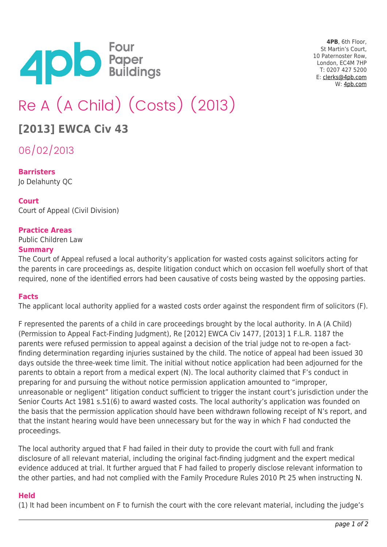

**4PB**, 6th Floor, St Martin's Court, 10 Paternoster Row, London, EC4M 7HP T: 0207 427 5200 E: [clerks@4pb.com](mailto:clerks@4pb.com) W: [4pb.com](http://4pb.com)

# Re A (A Child) (Costs) (2013)

# **[2013] EWCA Civ 43**

06/02/2013

# **Barristers**

Jo Delahunty QC

# **Court**

Court of Appeal (Civil Division)

### **Practice Areas**

Public Children Law

#### **Summary**

The Court of Appeal refused a local authority's application for wasted costs against solicitors acting for the parents in care proceedings as, despite litigation conduct which on occasion fell woefully short of that required, none of the identified errors had been causative of costs being wasted by the opposing parties.

#### **Facts**

The applicant local authority applied for a wasted costs order against the respondent firm of solicitors (F).

F represented the parents of a child in care proceedings brought by the local authority. In A (A Child) (Permission to Appeal Fact-Finding Judgment), Re [2012] EWCA Civ 1477, [2013] 1 F.L.R. 1187 the parents were refused permission to appeal against a decision of the trial judge not to re-open a factfinding determination regarding injuries sustained by the child. The notice of appeal had been issued 30 days outside the three-week time limit. The initial without notice application had been adjourned for the parents to obtain a report from a medical expert (N). The local authority claimed that F's conduct in preparing for and pursuing the without notice permission application amounted to "improper, unreasonable or negligent" litigation conduct sufficient to trigger the instant court's jurisdiction under the Senior Courts Act 1981 s.51(6) to award wasted costs. The local authority's application was founded on the basis that the permission application should have been withdrawn following receipt of N's report, and that the instant hearing would have been unnecessary but for the way in which F had conducted the proceedings.

The local authority argued that F had failed in their duty to provide the court with full and frank disclosure of all relevant material, including the original fact-finding judgment and the expert medical evidence adduced at trial. It further argued that F had failed to properly disclose relevant information to the other parties, and had not complied with the Family Procedure Rules 2010 Pt 25 when instructing N.

#### **Held**

(1) It had been incumbent on F to furnish the court with the core relevant material, including the judge's